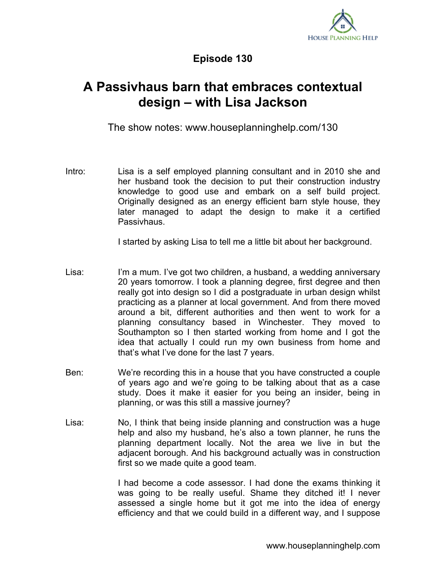

## **Episode 130**

## **A Passivhaus barn that embraces contextual design – with Lisa Jackson**

The show notes: www.houseplanninghelp.com/130

Intro: Lisa is a self employed planning consultant and in 2010 she and her husband took the decision to put their construction industry knowledge to good use and embark on a self build project. Originally designed as an energy efficient barn style house, they later managed to adapt the design to make it a certified Passivhaus.

I started by asking Lisa to tell me a little bit about her background.

- Lisa: I'm a mum. I've got two children, a husband, a wedding anniversary 20 years tomorrow. I took a planning degree, first degree and then really got into design so I did a postgraduate in urban design whilst practicing as a planner at local government. And from there moved around a bit, different authorities and then went to work for a planning consultancy based in Winchester. They moved to Southampton so I then started working from home and I got the idea that actually I could run my own business from home and that's what I've done for the last 7 years.
- Ben: We're recording this in a house that you have constructed a couple of years ago and we're going to be talking about that as a case study. Does it make it easier for you being an insider, being in planning, or was this still a massive journey?
- Lisa: No, I think that being inside planning and construction was a huge help and also my husband, he's also a town planner, he runs the planning department locally. Not the area we live in but the adjacent borough. And his background actually was in construction first so we made quite a good team.

I had become a code assessor. I had done the exams thinking it was going to be really useful. Shame they ditched it! I never assessed a single home but it got me into the idea of energy efficiency and that we could build in a different way, and I suppose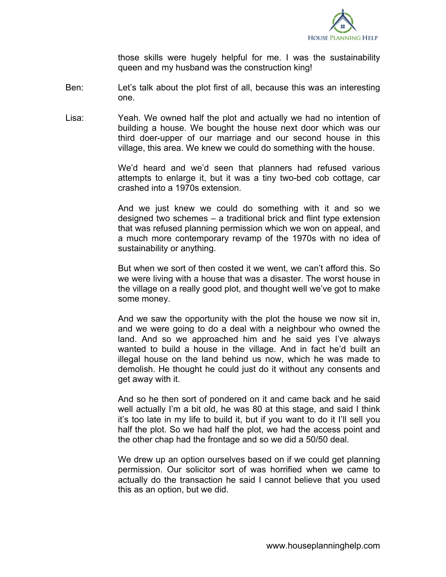

those skills were hugely helpful for me. I was the sustainability queen and my husband was the construction king!

- Ben: Let's talk about the plot first of all, because this was an interesting one.
- Lisa: Yeah. We owned half the plot and actually we had no intention of building a house. We bought the house next door which was our third doer-upper of our marriage and our second house in this village, this area. We knew we could do something with the house.

We'd heard and we'd seen that planners had refused various attempts to enlarge it, but it was a tiny two-bed cob cottage, car crashed into a 1970s extension.

And we just knew we could do something with it and so we designed two schemes – a traditional brick and flint type extension that was refused planning permission which we won on appeal, and a much more contemporary revamp of the 1970s with no idea of sustainability or anything.

But when we sort of then costed it we went, we can't afford this. So we were living with a house that was a disaster. The worst house in the village on a really good plot, and thought well we've got to make some money.

And we saw the opportunity with the plot the house we now sit in, and we were going to do a deal with a neighbour who owned the land. And so we approached him and he said yes I've always wanted to build a house in the village. And in fact he'd built an illegal house on the land behind us now, which he was made to demolish. He thought he could just do it without any consents and get away with it.

And so he then sort of pondered on it and came back and he said well actually I'm a bit old, he was 80 at this stage, and said I think it's too late in my life to build it, but if you want to do it I'll sell you half the plot. So we had half the plot, we had the access point and the other chap had the frontage and so we did a 50/50 deal.

We drew up an option ourselves based on if we could get planning permission. Our solicitor sort of was horrified when we came to actually do the transaction he said I cannot believe that you used this as an option, but we did.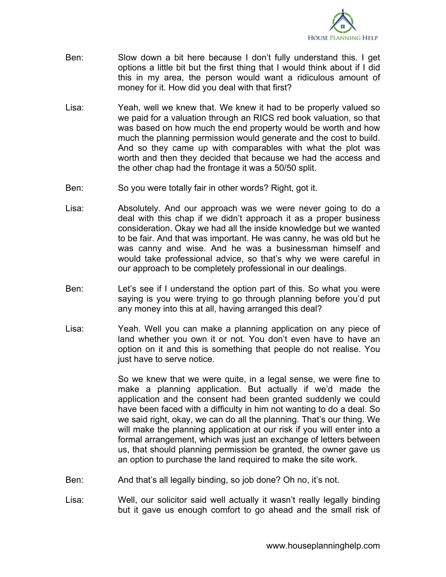

- Ben: Slow down a bit here because I don't fully understand this. I get options a little bit but the first thing that I would think about if I did this in my area, the person would want a ridiculous amount of money for it. How did you deal with that first?
- Lisa: Yeah, well we knew that. We knew it had to be properly valued so we paid for a valuation through an RICS red book valuation, so that was based on how much the end property would be worth and how much the planning permission would generate and the cost to build. And so they came up with comparables with what the plot was worth and then they decided that because we had the access and the other chap had the frontage it was a 50/50 split.
- Ben: So you were totally fair in other words? Right, got it.
- Lisa: Absolutely. And our approach was we were never going to do a deal with this chap if we didn't approach it as a proper business consideration. Okay we had all the inside knowledge but we wanted to be fair. And that was important. He was canny, he was old but he was canny and wise. And he was a businessman himself and would take professional advice, so that's why we were careful in our approach to be completely professional in our dealings.
- Ben: Let's see if I understand the option part of this. So what you were saying is you were trying to go through planning before you'd put any money into this at all, having arranged this deal?
- Lisa: Yeah. Well you can make a planning application on any piece of land whether you own it or not. You don't even have to have an option on it and this is something that people do not realise. You just have to serve notice.

So we knew that we were quite, in a legal sense, we were fine to make a planning application. But actually if we'd made the application and the consent had been granted suddenly we could have been faced with a difficulty in him not wanting to do a deal. So we said right, okay, we can do all the planning. That's our thing. We will make the planning application at our risk if you will enter into a formal arrangement, which was just an exchange of letters between us, that should planning permission be granted, the owner gave us an option to purchase the land required to make the site work.

- Ben: And that's all legally binding, so job done? Oh no, it's not.
- Lisa: Well, our solicitor said well actually it wasn't really legally binding but it gave us enough comfort to go ahead and the small risk of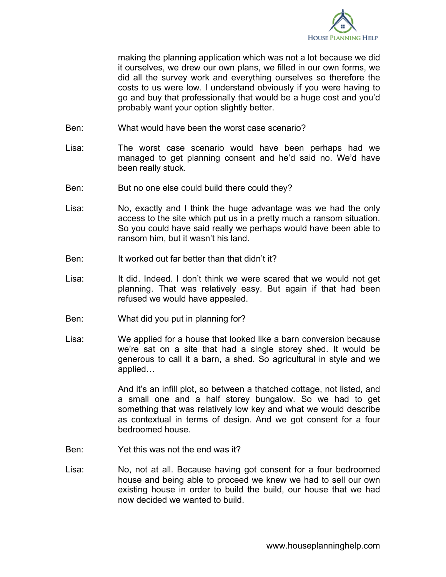

making the planning application which was not a lot because we did it ourselves, we drew our own plans, we filled in our own forms, we did all the survey work and everything ourselves so therefore the costs to us were low. I understand obviously if you were having to go and buy that professionally that would be a huge cost and you'd probably want your option slightly better.

- Ben: What would have been the worst case scenario?
- Lisa: The worst case scenario would have been perhaps had we managed to get planning consent and he'd said no. We'd have been really stuck.
- Ben: But no one else could build there could they?
- Lisa: No, exactly and I think the huge advantage was we had the only access to the site which put us in a pretty much a ransom situation. So you could have said really we perhaps would have been able to ransom him, but it wasn't his land.
- Ben: It worked out far better than that didn't it?
- Lisa: It did. Indeed. I don't think we were scared that we would not get planning. That was relatively easy. But again if that had been refused we would have appealed.
- Ben: What did you put in planning for?
- Lisa: We applied for a house that looked like a barn conversion because we're sat on a site that had a single storey shed. It would be generous to call it a barn, a shed. So agricultural in style and we applied…

And it's an infill plot, so between a thatched cottage, not listed, and a small one and a half storey bungalow. So we had to get something that was relatively low key and what we would describe as contextual in terms of design. And we got consent for a four bedroomed house.

- Ben: Yet this was not the end was it?
- Lisa: No, not at all. Because having got consent for a four bedroomed house and being able to proceed we knew we had to sell our own existing house in order to build the build, our house that we had now decided we wanted to build.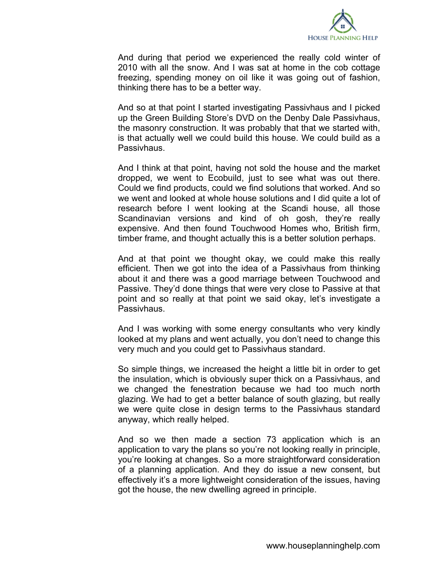

And during that period we experienced the really cold winter of 2010 with all the snow. And I was sat at home in the cob cottage freezing, spending money on oil like it was going out of fashion, thinking there has to be a better way.

And so at that point I started investigating Passivhaus and I picked up the Green Building Store's DVD on the Denby Dale Passivhaus, the masonry construction. It was probably that that we started with, is that actually well we could build this house. We could build as a Passivhaus.

And I think at that point, having not sold the house and the market dropped, we went to Ecobuild, just to see what was out there. Could we find products, could we find solutions that worked. And so we went and looked at whole house solutions and I did quite a lot of research before I went looking at the Scandi house, all those Scandinavian versions and kind of oh gosh, they're really expensive. And then found Touchwood Homes who, British firm, timber frame, and thought actually this is a better solution perhaps.

And at that point we thought okay, we could make this really efficient. Then we got into the idea of a Passivhaus from thinking about it and there was a good marriage between Touchwood and Passive. They'd done things that were very close to Passive at that point and so really at that point we said okay, let's investigate a Passivhaus.

And I was working with some energy consultants who very kindly looked at my plans and went actually, you don't need to change this very much and you could get to Passivhaus standard.

So simple things, we increased the height a little bit in order to get the insulation, which is obviously super thick on a Passivhaus, and we changed the fenestration because we had too much north glazing. We had to get a better balance of south glazing, but really we were quite close in design terms to the Passivhaus standard anyway, which really helped.

And so we then made a section 73 application which is an application to vary the plans so you're not looking really in principle, you're looking at changes. So a more straightforward consideration of a planning application. And they do issue a new consent, but effectively it's a more lightweight consideration of the issues, having got the house, the new dwelling agreed in principle.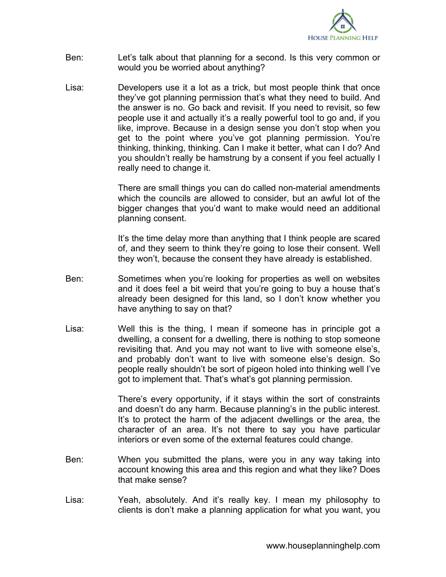

- Ben: Let's talk about that planning for a second. Is this very common or would you be worried about anything?
- Lisa: Developers use it a lot as a trick, but most people think that once they've got planning permission that's what they need to build. And the answer is no. Go back and revisit. If you need to revisit, so few people use it and actually it's a really powerful tool to go and, if you like, improve. Because in a design sense you don't stop when you get to the point where you've got planning permission. You're thinking, thinking, thinking. Can I make it better, what can I do? And you shouldn't really be hamstrung by a consent if you feel actually I really need to change it.

There are small things you can do called non-material amendments which the councils are allowed to consider, but an awful lot of the bigger changes that you'd want to make would need an additional planning consent.

It's the time delay more than anything that I think people are scared of, and they seem to think they're going to lose their consent. Well they won't, because the consent they have already is established.

- Ben: Sometimes when you're looking for properties as well on websites and it does feel a bit weird that you're going to buy a house that's already been designed for this land, so I don't know whether you have anything to say on that?
- Lisa: Well this is the thing, I mean if someone has in principle got a dwelling, a consent for a dwelling, there is nothing to stop someone revisiting that. And you may not want to live with someone else's, and probably don't want to live with someone else's design. So people really shouldn't be sort of pigeon holed into thinking well I've got to implement that. That's what's got planning permission.

There's every opportunity, if it stays within the sort of constraints and doesn't do any harm. Because planning's in the public interest. It's to protect the harm of the adjacent dwellings or the area, the character of an area. It's not there to say you have particular interiors or even some of the external features could change.

- Ben: When you submitted the plans, were you in any way taking into account knowing this area and this region and what they like? Does that make sense?
- Lisa: Yeah, absolutely. And it's really key. I mean my philosophy to clients is don't make a planning application for what you want, you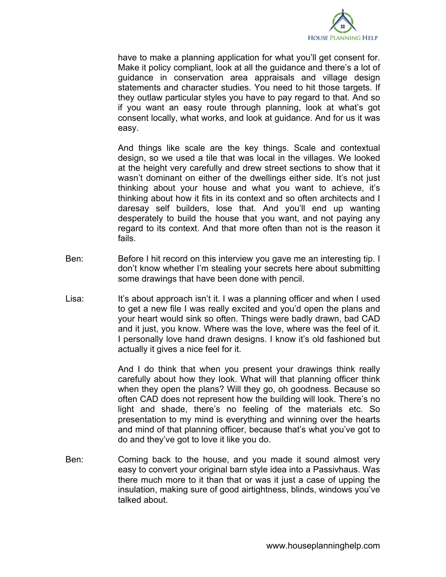

have to make a planning application for what you'll get consent for. Make it policy compliant, look at all the guidance and there's a lot of guidance in conservation area appraisals and village design statements and character studies. You need to hit those targets. If they outlaw particular styles you have to pay regard to that. And so if you want an easy route through planning, look at what's got consent locally, what works, and look at guidance. And for us it was easy.

And things like scale are the key things. Scale and contextual design, so we used a tile that was local in the villages. We looked at the height very carefully and drew street sections to show that it wasn't dominant on either of the dwellings either side. It's not just thinking about your house and what you want to achieve, it's thinking about how it fits in its context and so often architects and I daresay self builders, lose that. And you'll end up wanting desperately to build the house that you want, and not paying any regard to its context. And that more often than not is the reason it fails.

- Ben: Before I hit record on this interview you gave me an interesting tip. I don't know whether I'm stealing your secrets here about submitting some drawings that have been done with pencil.
- Lisa: It's about approach isn't it. I was a planning officer and when I used to get a new file I was really excited and you'd open the plans and your heart would sink so often. Things were badly drawn, bad CAD and it just, you know. Where was the love, where was the feel of it. I personally love hand drawn designs. I know it's old fashioned but actually it gives a nice feel for it.

And I do think that when you present your drawings think really carefully about how they look. What will that planning officer think when they open the plans? Will they go, oh goodness. Because so often CAD does not represent how the building will look. There's no light and shade, there's no feeling of the materials etc. So presentation to my mind is everything and winning over the hearts and mind of that planning officer, because that's what you've got to do and they've got to love it like you do.

Ben: Coming back to the house, and you made it sound almost very easy to convert your original barn style idea into a Passivhaus. Was there much more to it than that or was it just a case of upping the insulation, making sure of good airtightness, blinds, windows you've talked about.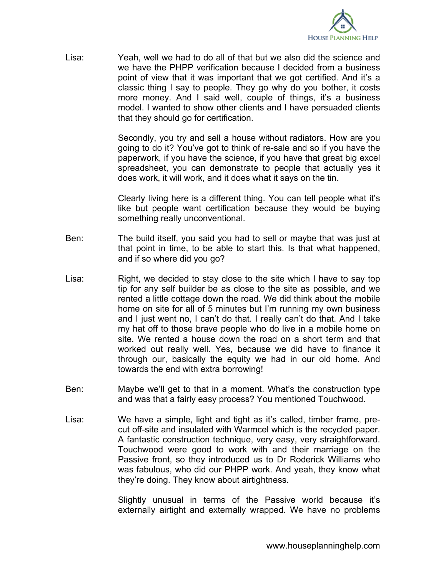

Lisa: Yeah, well we had to do all of that but we also did the science and we have the PHPP verification because I decided from a business point of view that it was important that we got certified. And it's a classic thing I say to people. They go why do you bother, it costs more money. And I said well, couple of things, it's a business model. I wanted to show other clients and I have persuaded clients that they should go for certification.

> Secondly, you try and sell a house without radiators. How are you going to do it? You've got to think of re-sale and so if you have the paperwork, if you have the science, if you have that great big excel spreadsheet, you can demonstrate to people that actually yes it does work, it will work, and it does what it says on the tin.

> Clearly living here is a different thing. You can tell people what it's like but people want certification because they would be buying something really unconventional.

- Ben: The build itself, you said you had to sell or maybe that was just at that point in time, to be able to start this. Is that what happened, and if so where did you go?
- Lisa: Right, we decided to stay close to the site which I have to say top tip for any self builder be as close to the site as possible, and we rented a little cottage down the road. We did think about the mobile home on site for all of 5 minutes but I'm running my own business and I just went no, I can't do that. I really can't do that. And I take my hat off to those brave people who do live in a mobile home on site. We rented a house down the road on a short term and that worked out really well. Yes, because we did have to finance it through our, basically the equity we had in our old home. And towards the end with extra borrowing!
- Ben: Maybe we'll get to that in a moment. What's the construction type and was that a fairly easy process? You mentioned Touchwood.
- Lisa: We have a simple, light and tight as it's called, timber frame, precut off-site and insulated with Warmcel which is the recycled paper. A fantastic construction technique, very easy, very straightforward. Touchwood were good to work with and their marriage on the Passive front, so they introduced us to Dr Roderick Williams who was fabulous, who did our PHPP work. And yeah, they know what they're doing. They know about airtightness.

Slightly unusual in terms of the Passive world because it's externally airtight and externally wrapped. We have no problems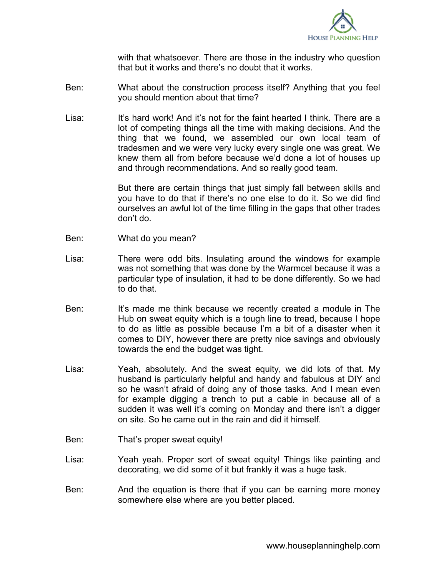

with that whatsoever. There are those in the industry who question that but it works and there's no doubt that it works.

- Ben: What about the construction process itself? Anything that you feel you should mention about that time?
- Lisa: It's hard work! And it's not for the faint hearted I think. There are a lot of competing things all the time with making decisions. And the thing that we found, we assembled our own local team of tradesmen and we were very lucky every single one was great. We knew them all from before because we'd done a lot of houses up and through recommendations. And so really good team.

But there are certain things that just simply fall between skills and you have to do that if there's no one else to do it. So we did find ourselves an awful lot of the time filling in the gaps that other trades don't do.

- Ben: What do you mean?
- Lisa: There were odd bits. Insulating around the windows for example was not something that was done by the Warmcel because it was a particular type of insulation, it had to be done differently. So we had to do that.
- Ben: It's made me think because we recently created a module in The Hub on sweat equity which is a tough line to tread, because I hope to do as little as possible because I'm a bit of a disaster when it comes to DIY, however there are pretty nice savings and obviously towards the end the budget was tight.
- Lisa: Yeah, absolutely. And the sweat equity, we did lots of that. My husband is particularly helpful and handy and fabulous at DIY and so he wasn't afraid of doing any of those tasks. And I mean even for example digging a trench to put a cable in because all of a sudden it was well it's coming on Monday and there isn't a digger on site. So he came out in the rain and did it himself.
- Ben: That's proper sweat equity!
- Lisa: Yeah yeah. Proper sort of sweat equity! Things like painting and decorating, we did some of it but frankly it was a huge task.
- Ben: And the equation is there that if you can be earning more money somewhere else where are you better placed.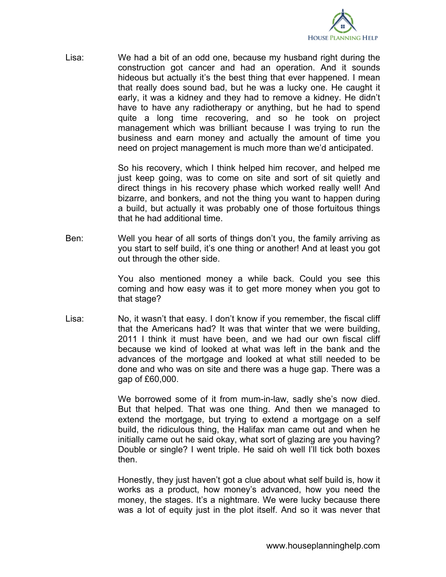

Lisa: We had a bit of an odd one, because my husband right during the construction got cancer and had an operation. And it sounds hideous but actually it's the best thing that ever happened. I mean that really does sound bad, but he was a lucky one. He caught it early, it was a kidney and they had to remove a kidney. He didn't have to have any radiotherapy or anything, but he had to spend quite a long time recovering, and so he took on project management which was brilliant because I was trying to run the business and earn money and actually the amount of time you need on project management is much more than we'd anticipated.

> So his recovery, which I think helped him recover, and helped me just keep going, was to come on site and sort of sit quietly and direct things in his recovery phase which worked really well! And bizarre, and bonkers, and not the thing you want to happen during a build, but actually it was probably one of those fortuitous things that he had additional time.

Ben: Well you hear of all sorts of things don't you, the family arriving as you start to self build, it's one thing or another! And at least you got out through the other side.

> You also mentioned money a while back. Could you see this coming and how easy was it to get more money when you got to that stage?

Lisa: No, it wasn't that easy. I don't know if you remember, the fiscal cliff that the Americans had? It was that winter that we were building, 2011 I think it must have been, and we had our own fiscal cliff because we kind of looked at what was left in the bank and the advances of the mortgage and looked at what still needed to be done and who was on site and there was a huge gap. There was a gap of £60,000.

> We borrowed some of it from mum-in-law, sadly she's now died. But that helped. That was one thing. And then we managed to extend the mortgage, but trying to extend a mortgage on a self build, the ridiculous thing, the Halifax man came out and when he initially came out he said okay, what sort of glazing are you having? Double or single? I went triple. He said oh well I'll tick both boxes then.

> Honestly, they just haven't got a clue about what self build is, how it works as a product, how money's advanced, how you need the money, the stages. It's a nightmare. We were lucky because there was a lot of equity just in the plot itself. And so it was never that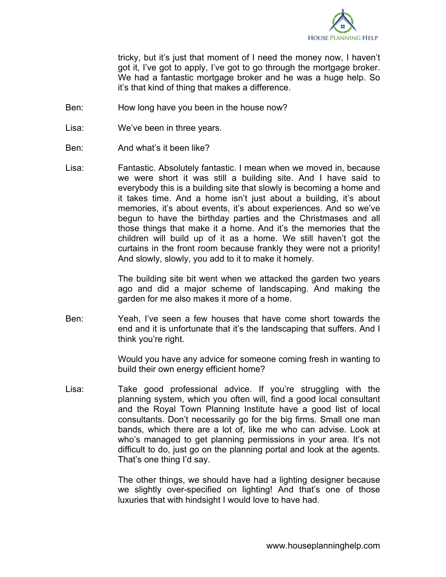

tricky, but it's just that moment of I need the money now, I haven't got it, I've got to apply, I've got to go through the mortgage broker. We had a fantastic mortgage broker and he was a huge help. So it's that kind of thing that makes a difference.

- Ben: How long have you been in the house now?
- Lisa: We've been in three years.
- Ben: And what's it been like?
- Lisa: Fantastic. Absolutely fantastic. I mean when we moved in, because we were short it was still a building site. And I have said to everybody this is a building site that slowly is becoming a home and it takes time. And a home isn't just about a building, it's about memories, it's about events, it's about experiences. And so we've begun to have the birthday parties and the Christmases and all those things that make it a home. And it's the memories that the children will build up of it as a home. We still haven't got the curtains in the front room because frankly they were not a priority! And slowly, slowly, you add to it to make it homely.

The building site bit went when we attacked the garden two years ago and did a major scheme of landscaping. And making the garden for me also makes it more of a home.

Ben: Yeah, I've seen a few houses that have come short towards the end and it is unfortunate that it's the landscaping that suffers. And I think you're right.

> Would you have any advice for someone coming fresh in wanting to build their own energy efficient home?

Lisa: Take good professional advice. If you're struggling with the planning system, which you often will, find a good local consultant and the Royal Town Planning Institute have a good list of local consultants. Don't necessarily go for the big firms. Small one man bands, which there are a lot of, like me who can advise. Look at who's managed to get planning permissions in your area. It's not difficult to do, just go on the planning portal and look at the agents. That's one thing I'd say.

> The other things, we should have had a lighting designer because we slightly over-specified on lighting! And that's one of those luxuries that with hindsight I would love to have had.